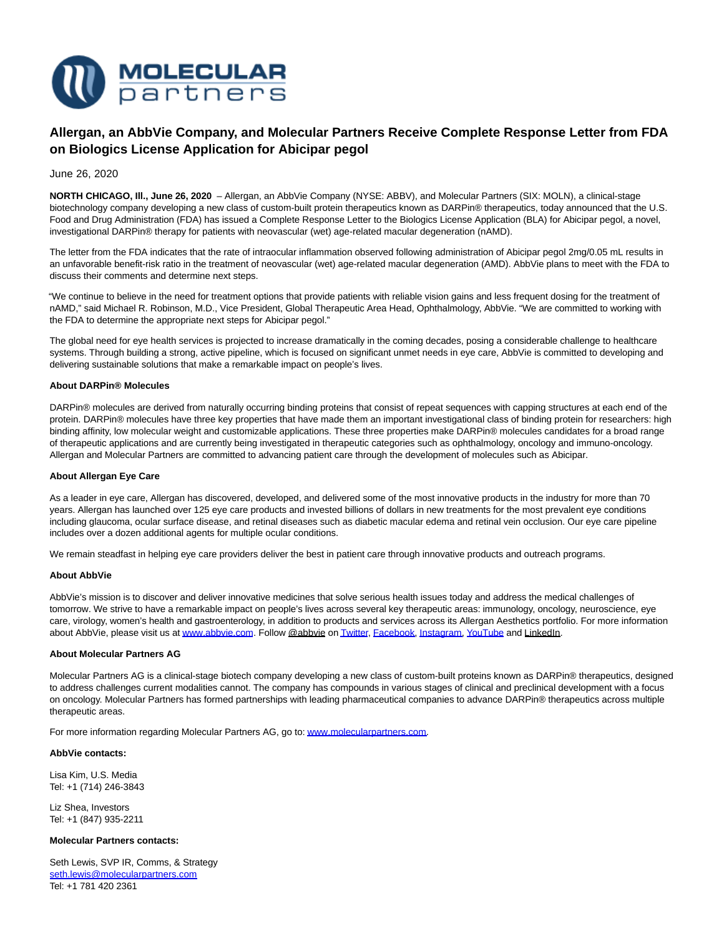

# **Allergan, an AbbVie Company, and Molecular Partners Receive Complete Response Letter from FDA on Biologics License Application for Abicipar pegol**

June 26, 2020

**NORTH CHICAGO, Ill., June 26, 2020** – Allergan, an AbbVie Company (NYSE: ABBV), and Molecular Partners (SIX: MOLN), a clinical-stage biotechnology company developing a new class of custom-built protein therapeutics known as DARPin® therapeutics, today announced that the U.S. Food and Drug Administration (FDA) has issued a Complete Response Letter to the Biologics License Application (BLA) for Abicipar pegol, a novel, investigational DARPin® therapy for patients with neovascular (wet) age-related macular degeneration (nAMD).

The letter from the FDA indicates that the rate of intraocular inflammation observed following administration of Abicipar pegol 2mg/0.05 mL results in an unfavorable benefit-risk ratio in the treatment of neovascular (wet) age-related macular degeneration (AMD). AbbVie plans to meet with the FDA to discuss their comments and determine next steps.

"We continue to believe in the need for treatment options that provide patients with reliable vision gains and less frequent dosing for the treatment of nAMD," said Michael R. Robinson, M.D., Vice President, Global Therapeutic Area Head, Ophthalmology, AbbVie. "We are committed to working with the FDA to determine the appropriate next steps for Abicipar pegol."

The global need for eye health services is projected to increase dramatically in the coming decades, posing a considerable challenge to healthcare systems. Through building a strong, active pipeline, which is focused on significant unmet needs in eye care, AbbVie is committed to developing and delivering sustainable solutions that make a remarkable impact on people's lives.

## **About DARPin® Molecules**

DARPin® molecules are derived from naturally occurring binding proteins that consist of repeat sequences with capping structures at each end of the protein. DARPin® molecules have three key properties that have made them an important investigational class of binding protein for researchers: high binding affinity, low molecular weight and customizable applications. These three properties make DARPin® molecules candidates for a broad range of therapeutic applications and are currently being investigated in therapeutic categories such as ophthalmology, oncology and immuno-oncology. Allergan and Molecular Partners are committed to advancing patient care through the development of molecules such as Abicipar.

### **About Allergan Eye Care**

As a leader in eye care, Allergan has discovered, developed, and delivered some of the most innovative products in the industry for more than 70 years. Allergan has launched over 125 eye care products and invested billions of dollars in new treatments for the most prevalent eye conditions including glaucoma, ocular surface disease, and retinal diseases such as diabetic macular edema and retinal vein occlusion. Our eye care pipeline includes over a dozen additional agents for multiple ocular conditions.

We remain steadfast in helping eye care providers deliver the best in patient care through innovative products and outreach programs.

### **About AbbVie**

AbbVie's mission is to discover and deliver innovative medicines that solve serious health issues today and address the medical challenges of tomorrow. We strive to have a remarkable impact on people's lives across several key therapeutic areas: immunology, oncology, neuroscience, eye care, virology, women's health and gastroenterology, in addition to products and services across its Allergan Aesthetics portfolio. For more information about AbbVie, please visit us a[t www.abbvie.com.](http://www.abbvie.com/) Follow @abbvie o[n Twitter,](https://twitter.com/abbvie) [Facebook,](https://www.facebook.com/AbbVieGlobal/) [Instagram,](https://www.instagram.com/abbvie/) [YouTube a](https://www.youtube.com/user/AbbVie)nd LinkedIn.

### **About Molecular Partners AG**

Molecular Partners AG is a clinical-stage biotech company developing a new class of custom-built proteins known as DARPin® therapeutics, designed to address challenges current modalities cannot. The company has compounds in various stages of clinical and preclinical development with a focus on oncology. Molecular Partners has formed partnerships with leading pharmaceutical companies to advance DARPin® therapeutics across multiple therapeutic areas.

For more information regarding Molecular Partners AG, go to[: www.molecularpartners.com.](https://www.molecularpartners.com/)

### **AbbVie contacts:**

Lisa Kim, U.S. Media Tel: +1 (714) 246-3843

Liz Shea, Investors Tel: +1 (847) 935-2211

### **Molecular Partners contacts:**

Seth Lewis, SVP IR, Comms, & Strategy [seth.lewis@molecularpartners.com](mailto:seth.lewis@molecularpartners.com) Tel: +1 781 420 2361